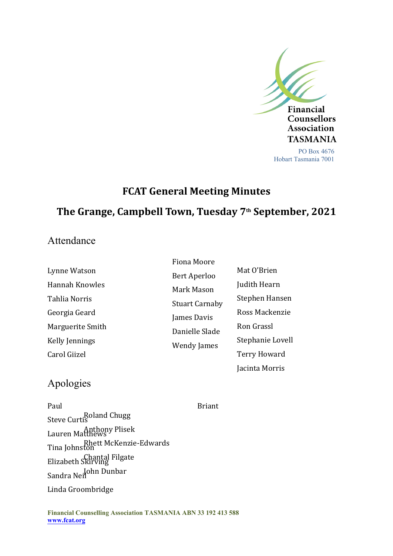

# **FCAT General Meeting Minutes The Grange, Campbell Town, Tuesday 7th September, 2021**

### Attendance

|                  | Fiona Moore                                                                                                |                     |
|------------------|------------------------------------------------------------------------------------------------------------|---------------------|
| Lynne Watson     | Bert Aperloo<br>Mark Mason<br><b>Stuart Carnaby</b><br>James Davis<br>Danielle Slade<br><b>Wendy James</b> | Mat O'Brien         |
| Hannah Knowles   |                                                                                                            | Judith Hearn        |
| Tahlia Norris    |                                                                                                            | Stephen Hansen      |
| Georgia Geard    |                                                                                                            | Ross Mackenzie      |
| Marguerite Smith |                                                                                                            | Ron Grassl          |
| Kelly Jennings   |                                                                                                            | Stephanie Lovell    |
| Carol Giizel     |                                                                                                            | <b>Terry Howard</b> |
|                  |                                                                                                            | Jacinta Morris      |

## Apologies

Roland Chugg Steve Curtis Anthony Plisek Lauren Matthews Rhett McKenzie-Edwards Tina Johnston Chantal Filgate Elizabeth Skirving Sandra Neil<sup>ohn Dunbar</sup> Paul Briant Briant Linda Groombridge

**Financial Counselling Association TASMANIA ABN 33 192 413 588 www.fcat.org**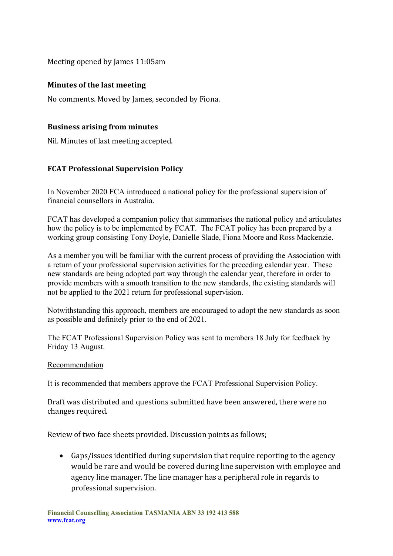Meeting opened by James 11:05am

#### **Minutes of the last meeting**

No comments. Moved by James, seconded by Fiona.

#### **Business arising from minutes**

Nil. Minutes of last meeting accepted.

#### **FCAT Professional Supervision Policy**

In November 2020 FCA introduced a national policy for the professional supervision of financial counsellors in Australia.

FCAT has developed a companion policy that summarises the national policy and articulates how the policy is to be implemented by FCAT. The FCAT policy has been prepared by a working group consisting Tony Doyle, Danielle Slade, Fiona Moore and Ross Mackenzie.

As a member you will be familiar with the current process of providing the Association with a return of your professional supervision activities for the preceding calendar year. These new standards are being adopted part way through the calendar year, therefore in order to provide members with a smooth transition to the new standards, the existing standards will not be applied to the 2021 return for professional supervision.

Notwithstanding this approach, members are encouraged to adopt the new standards as soon as possible and definitely prior to the end of 2021.

The FCAT Professional Supervision Policy was sent to members 18 July for feedback by Friday 13 August.

#### Recommendation

It is recommended that members approve the FCAT Professional Supervision Policy.

Draft was distributed and questions submitted have been answered, there were no changes required.

Review of two face sheets provided. Discussion points as follows;

 Gaps/issues identified during supervision that require reporting to the agency would be rare and would be covered during line supervision with employee and agency line manager. The line manager has a peripheral role in regards to professional supervision.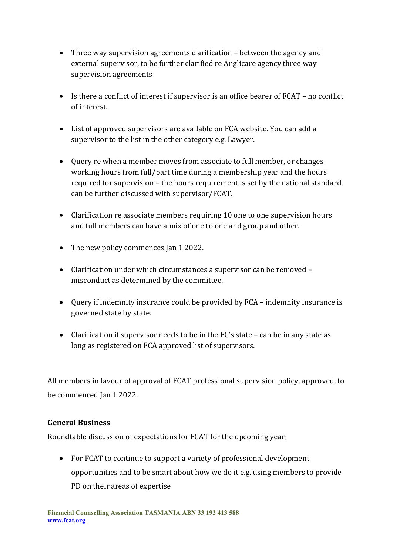- Three way supervision agreements clarification between the agency and external supervisor, to be further clarified re Anglicare agency three way supervision agreements
- Is there a conflict of interest if supervisor is an office bearer of FCAT no conflict of interest.
- List of approved supervisors are available on FCA website. You can add a supervisor to the list in the other category e.g. Lawyer.
- Query re when a member moves from associate to full member, or changes working hours from full/part time during a membership year and the hours required for supervision – the hours requirement is set by the national standard, can be further discussed with supervisor/FCAT.
- Clarification re associate members requiring 10 one to one supervision hours and full members can have a mix of one to one and group and other.
- The new policy commences Ian 1 2022.
- Clarification under which circumstances a supervisor can be removed misconduct as determined by the committee.
- Query if indemnity insurance could be provided by FCA indemnity insurance is governed state by state.
- Clarification if supervisor needs to be in the FC's state can be in any state as long as registered on FCA approved list of supervisors.

All members in favour of approval of FCAT professional supervision policy, approved, to be commenced Jan 1 2022.

#### **General Business**

Roundtable discussion of expectations for FCAT for the upcoming year;

 For FCAT to continue to support a variety of professional development opportunities and to be smart about how we do it e.g. using members to provide PD on their areas of expertise